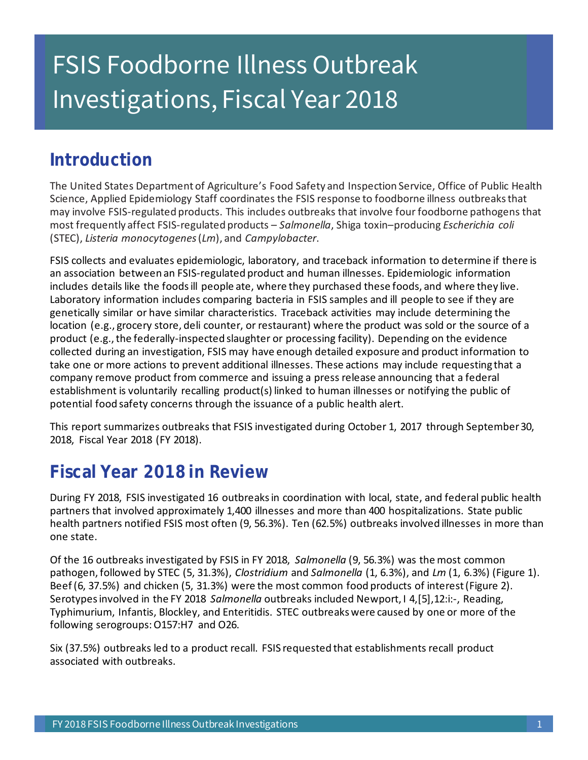# Investigations, Fiscal Year 2018 FSIS Foodborne Illness Outbreak

### **Introduction**

 The United States Department of Agriculture's Food Safety and Inspection Service, Office of Public Health Science, Applied Epidemiology Staff coordinates the FSIS response to foodborne illness outbreaks that may involve FSIS-regulated products. This includes outbreaks that involve four foodborne pathogens that most frequently affect FSIS-regulated products – *Salmonella*, Shiga toxin–producing *Escherichia coli*  (STEC), *Listeria monocytogenes* (*Lm*), and *Campylobacter*.

 FSIS collects and evaluates epidemiologic, laboratory, and traceback information to determine if there is includes details like the foods ill people ate, where they purchased these foods, and where they live. Laboratory information includes comparing bacteria in FSIS samples and ill people to see if they are genetically similar or have similar characteristics. Traceback activities may include determining the location (e.g., grocery store, deli counter, or restaurant) where the product was sold or the source of a collected during an investigation, FSIS may have enough detailed exposure and product information to take one or more actions to prevent additional illnesses. These actions may include requesting that a company remove product from commerce and issuing a press release announcing that a federal establishment is voluntarily recalling product(s) linked to human illnesses or notifying the public of potential food safety concerns through the issuance of a public health alert. an association between an FSIS-regulated product and human illnesses. Epidemiologic information product (e.g., the federally-inspected slaughter or processing facility). Depending on the evidence

 This report summarizes outbreaks that FSIS investigated during October 1, 2017 through September 30, 2018, Fiscal Year 2018 (FY 2018).

## **Fiscal Year 2018 in Review**

 During FY 2018, FSIS investigated 16 outbreaks in coordination with local, state, and federal public health partners that involved approximately 1,400 illnesses and more than 400 hospitalizations. State public health partners notified FSIS most often (9, 56.3%). Ten (62.5%) outbreaks involved illnesses in more than one state.

 Of the 16 outbreaks investigated by FSIS in FY 2018, *Salmonella* (9, 56.3%) was the most common  pathogen, followed by STEC (5, 31.3%), *Clostridium* and *Salmonella* (1, 6.3%), and *Lm* (1, 6.3%) (Figure 1). Beef (6, 37.5%) and chicken (5, 31.3%) were the most common food products of interest (Figure 2). Serotypes involved in the FY 2018 *Salmonella* outbreaks included Newport, I 4,[5],12:i:-, Reading, Typhimurium, Infantis, Blockley, and Enteritidis. STEC outbreaks were caused by one or more of the following serogroups: O157:H7 and O26.

 Six (37.5%) outbreaks led to a product recall. FSIS requested that establishments recall product associated with outbreaks.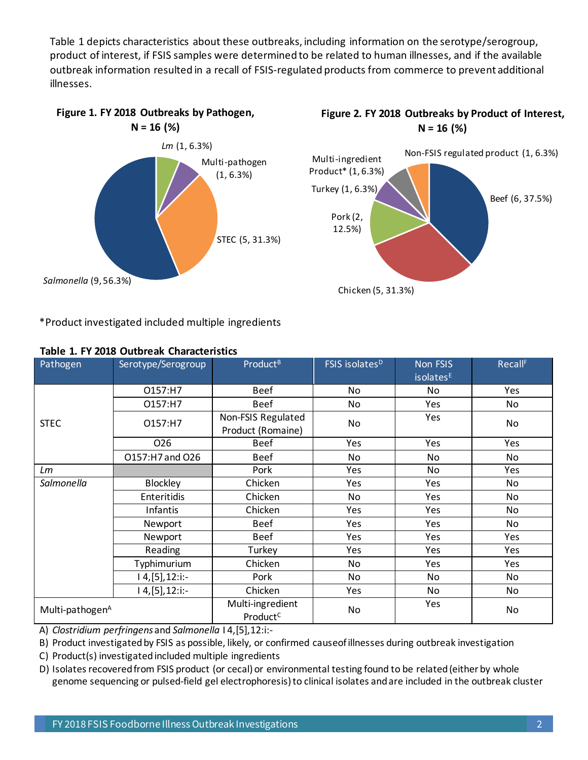Table 1 depicts characteristics about these outbreaks, including information on the serotype/serogroup, outbreak information resulted in a recall of FSIS-regulated products from commerce to prevent additional product of interest, if FSIS samples were determined to be related to human illnesses, and if the available illnesses.







\*Product investigated included multiple ingredients

| Pathogen                    | Serotype/Serogroup | Product <sup>B</sup>                     | FSIS isolates <sup>D</sup> | <b>Non FSIS</b><br>isolates <sup>E</sup> | <b>Recall</b> <sup>F</sup> |
|-----------------------------|--------------------|------------------------------------------|----------------------------|------------------------------------------|----------------------------|
| <b>STEC</b>                 | O157:H7            | <b>Beef</b>                              | No                         | No                                       | Yes                        |
|                             | O157:H7            | <b>Beef</b>                              | No                         | Yes                                      | No                         |
|                             | O157:H7            | Non-FSIS Regulated<br>Product (Romaine)  | No                         | Yes                                      | No                         |
|                             | 026                | <b>Beef</b>                              | Yes                        | Yes                                      | Yes                        |
|                             | 0157:H7 and O26    | <b>Beef</b>                              | No                         | No                                       | No                         |
| Lm                          |                    | Pork                                     | Yes                        | <b>No</b>                                | Yes                        |
| Salmonella                  | <b>Blockley</b>    | Chicken                                  | Yes                        | Yes                                      | No                         |
|                             | Enteritidis        | Chicken                                  | No                         | Yes                                      | No                         |
|                             | Infantis           | Chicken                                  | Yes                        | Yes                                      | No                         |
|                             | Newport            | <b>Beef</b>                              | Yes                        | Yes                                      | No                         |
|                             | Newport            | <b>Beef</b>                              | Yes                        | Yes                                      | Yes                        |
|                             | Reading            | Turkey                                   | Yes                        | Yes                                      | Yes                        |
|                             | Typhimurium        | Chicken                                  | No                         | Yes                                      | Yes                        |
|                             | $ 4,[5], 12$ :i:-  | Pork                                     | No                         | <b>No</b>                                | <b>No</b>                  |
|                             | $4,[5], 12$ :i:-   | Chicken                                  | Yes                        | No                                       | No                         |
| Multi-pathogen <sup>A</sup> |                    | Multi-ingredient<br>Product <sup>C</sup> | No                         | Yes                                      | No                         |

#### **Table 1. FY 2018 Outbreak Characteristics**

A) *Clostridium perfringens* and *Salmonella* I 4,[5],12:i:-

B) Product investigated by FSIS as possible, likely, or confirmed causeof illnesses during outbreak investigation

C) Product(s) investigated included multiple ingredients

 D) Isolates recovered from FSIS product (or cecal) or environmental testing found to be related (either by whole genome sequencing or pulsed-field gel electrophoresis) to clinical isolates and are included in the outbreak cluster